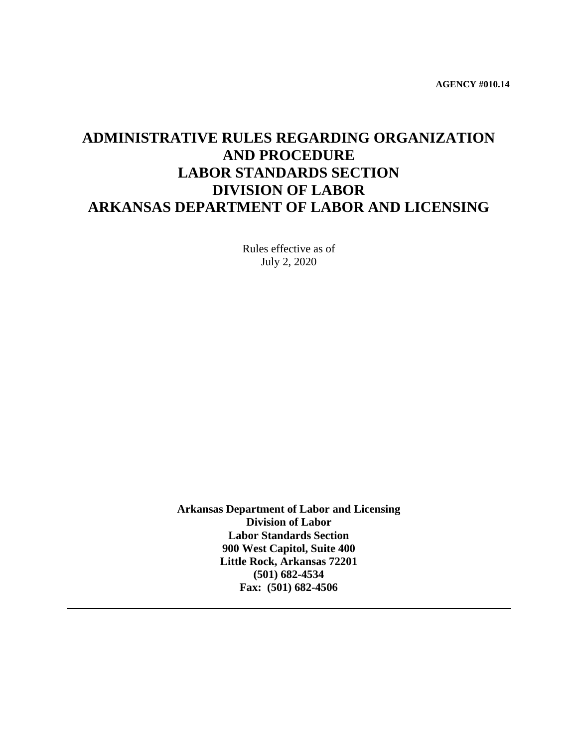**AGENCY #010.14**

# **ADMINISTRATIVE RULES REGARDING ORGANIZATION AND PROCEDURE LABOR STANDARDS SECTION DIVISION OF LABOR ARKANSAS DEPARTMENT OF LABOR AND LICENSING**

Rules effective as of July 2, 2020

**Arkansas Department of Labor and Licensing Division of Labor Labor Standards Section 900 West Capitol, Suite 400 Little Rock, Arkansas 72201 (501) 682-4534 Fax: (501) 682-4506**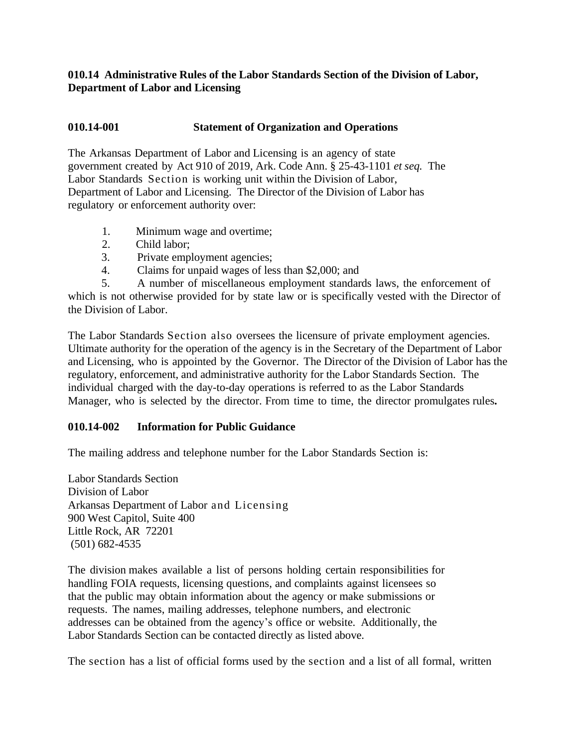#### **010.14 Administrative Rules of the Labor Standards Section of the Division of Labor, Department of Labor and Licensing**

#### **010.14-001 Statement of Organization and Operations**

The Arkansas Department of Labor and Licensing is an agency of state government created by Act 910 of 2019, Ark. Code Ann. § 25-43-1101 *et seq.* The Labor Standards Section is working unit within the Division of Labor, Department of Labor and Licensing. The Director of the Division of Labor has regulatory or enforcement authority over:

- 1. Minimum wage and overtime;
- 2. Child labor;
- 3. Private employment agencies;
- 4. Claims for unpaid wages of less than \$2,000; and

5. A number of miscellaneous employment standards laws, the enforcement of which is not otherwise provided for by state law or is specifically vested with the Director of the Division of Labor.

The Labor Standards Section also oversees the licensure of private employment agencies. Ultimate authority for the operation of the agency is in the Secretary of the Department of Labor and Licensing, who is appointed by the Governor. The Director of the Division of Labor has the regulatory, enforcement, and administrative authority for the Labor Standards Section. The individual charged with the day-to-day operations is referred to as the Labor Standards Manager, who is selected by the director. From time to time, the director promulgates rules**.**

#### **010.14-002 Information for Public Guidance**

The mailing address and telephone number for the Labor Standards Section is:

Labor Standards Section Division of Labor Arkansas Department of Labor and Licensing 900 West Capitol, Suite 400 Little Rock, AR 72201 (501) 682-4535

The division makes available a list of persons holding certain responsibilities for handling FOIA requests, licensing questions, and complaints against licensees so that the public may obtain information about the agency or make submissions or requests. The names, mailing addresses, telephone numbers, and electronic addresses can be obtained from the agency's office or website. Additionally, the Labor Standards Section can be contacted directly as listed above.

The section has a list of official forms used by the section and a list of all formal, written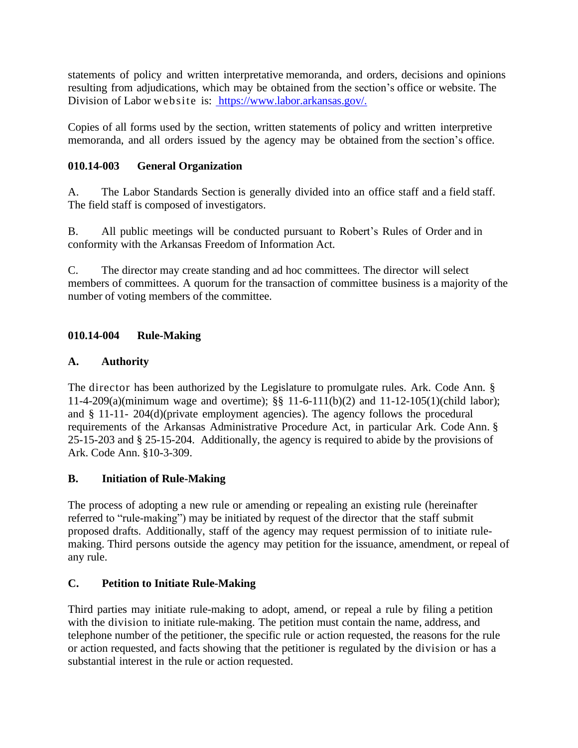statements of policy and written interpretative memoranda, and orders, decisions and opinions resulting from adjudications, which may be obtained from the section's office or website. The Division of Labor website is: [https://www.labor.arkansas.gov/.](https://www.labor.arkansas.gov/)

Copies of all forms used by the section, written statements of policy and written interpretive memoranda, and all orders issued by the agency may be obtained from the section's office.

## **010.14-003 General Organization**

A. The Labor Standards Section is generally divided into an office staff and a field staff. The field staff is composed of investigators.

B. All public meetings will be conducted pursuant to Robert's Rules of Order and in conformity with the Arkansas Freedom of Information Act.

C. The director may create standing and ad hoc committees. The director will select members of committees. A quorum for the transaction of committee business is a majority of the number of voting members of the committee.

## **010.14-004 Rule-Making**

## **A. Authority**

The director has been authorized by the Legislature to promulgate rules. Ark. Code Ann. § 11-4-209(a)(minimum wage and overtime); §§ 11-6-111(b)(2) and 11-12-105(1)(child labor); and § 11-11- 204(d)(private employment agencies). The agency follows the procedural requirements of the Arkansas Administrative Procedure Act, in particular Ark. Code Ann. § 25-15-203 and § 25-15-204. Additionally, the agency is required to abide by the provisions of Ark. Code Ann. §10-3-309.

# **B. Initiation of Rule-Making**

The process of adopting a new rule or amending or repealing an existing rule (hereinafter referred to "rule-making") may be initiated by request of the director that the staff submit proposed drafts. Additionally, staff of the agency may request permission of to initiate rulemaking. Third persons outside the agency may petition for the issuance, amendment, or repeal of any rule.

#### **C. Petition to Initiate Rule-Making**

Third parties may initiate rule-making to adopt, amend, or repeal a rule by filing a petition with the division to initiate rule-making. The petition must contain the name, address, and telephone number of the petitioner, the specific rule or action requested, the reasons for the rule or action requested, and facts showing that the petitioner is regulated by the division or has a substantial interest in the rule or action requested.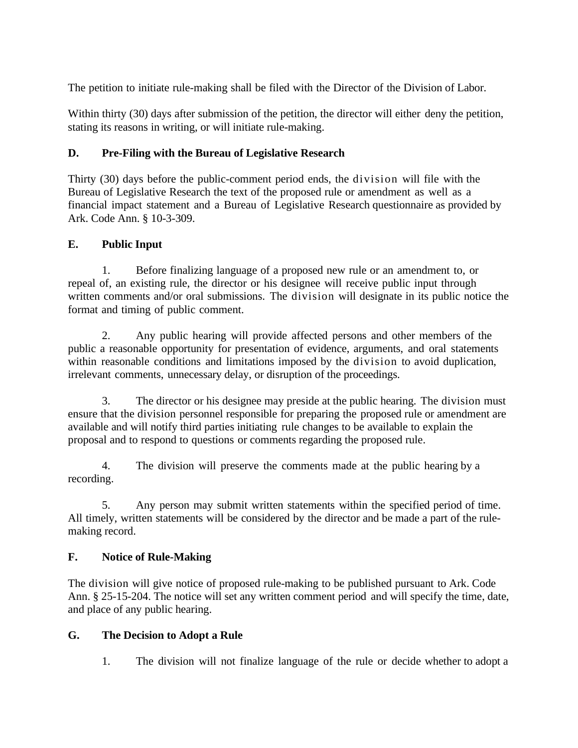The petition to initiate rule-making shall be filed with the Director of the Division of Labor.

Within thirty (30) days after submission of the petition, the director will either deny the petition, stating its reasons in writing, or will initiate rule-making.

## **D. Pre-Filing with the Bureau of Legislative Research**

Thirty (30) days before the public-comment period ends, the division will file with the Bureau of Legislative Research the text of the proposed rule or amendment as well as a financial impact statement and a Bureau of Legislative Research questionnaire as provided by Ark. Code Ann. § 10-3-309.

## **E. Public Input**

1. Before finalizing language of a proposed new rule or an amendment to, or repeal of, an existing rule, the director or his designee will receive public input through written comments and/or oral submissions. The division will designate in its public notice the format and timing of public comment.

2. Any public hearing will provide affected persons and other members of the public a reasonable opportunity for presentation of evidence, arguments, and oral statements within reasonable conditions and limitations imposed by the division to avoid duplication, irrelevant comments, unnecessary delay, or disruption of the proceedings.

3. The director or his designee may preside at the public hearing. The division must ensure that the division personnel responsible for preparing the proposed rule or amendment are available and will notify third parties initiating rule changes to be available to explain the proposal and to respond to questions or comments regarding the proposed rule.

4. The division will preserve the comments made at the public hearing by a recording.

5. Any person may submit written statements within the specified period of time. All timely, written statements will be considered by the director and be made a part of the rulemaking record.

# **F. Notice of Rule-Making**

The division will give notice of proposed rule-making to be published pursuant to Ark. Code Ann. § 25-15-204. The notice will set any written comment period and will specify the time, date, and place of any public hearing.

#### **G. The Decision to Adopt a Rule**

1. The division will not finalize language of the rule or decide whether to adopt a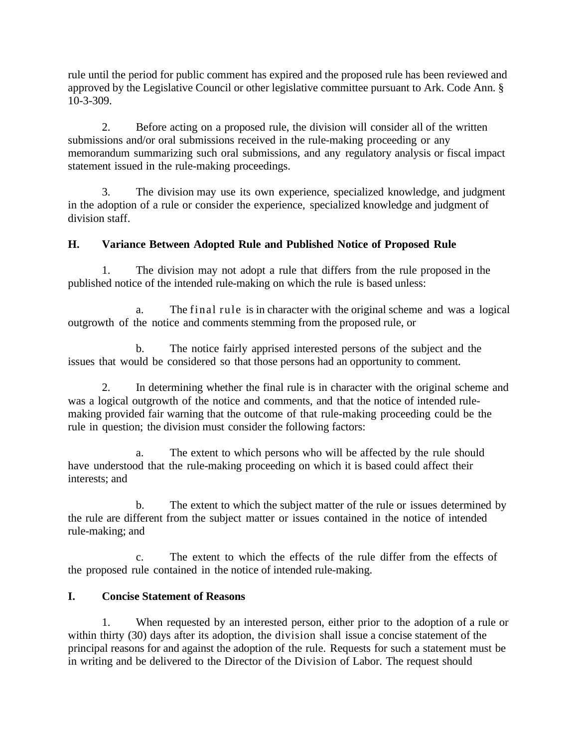rule until the period for public comment has expired and the proposed rule has been reviewed and approved by the Legislative Council or other legislative committee pursuant to Ark. Code Ann. § 10-3-309.

2. Before acting on a proposed rule, the division will consider all of the written submissions and/or oral submissions received in the rule-making proceeding or any memorandum summarizing such oral submissions, and any regulatory analysis or fiscal impact statement issued in the rule-making proceedings.

3. The division may use its own experience, specialized knowledge, and judgment in the adoption of a rule or consider the experience, specialized knowledge and judgment of division staff.

## **H. Variance Between Adopted Rule and Published Notice of Proposed Rule**

1. The division may not adopt a rule that differs from the rule proposed in the published notice of the intended rule-making on which the rule is based unless:

a. The final rule is in character with the original scheme and was a logical outgrowth of the notice and comments stemming from the proposed rule, or

b. The notice fairly apprised interested persons of the subject and the issues that would be considered so that those persons had an opportunity to comment.

2. In determining whether the final rule is in character with the original scheme and was a logical outgrowth of the notice and comments, and that the notice of intended rulemaking provided fair warning that the outcome of that rule-making proceeding could be the rule in question; the division must consider the following factors:

The extent to which persons who will be affected by the rule should have understood that the rule-making proceeding on which it is based could affect their interests; and

b. The extent to which the subject matter of the rule or issues determined by the rule are different from the subject matter or issues contained in the notice of intended rule-making; and

c. The extent to which the effects of the rule differ from the effects of the proposed rule contained in the notice of intended rule-making.

#### **I. Concise Statement of Reasons**

1. When requested by an interested person, either prior to the adoption of a rule or within thirty (30) days after its adoption, the division shall issue a concise statement of the principal reasons for and against the adoption of the rule. Requests for such a statement must be in writing and be delivered to the Director of the Division of Labor. The request should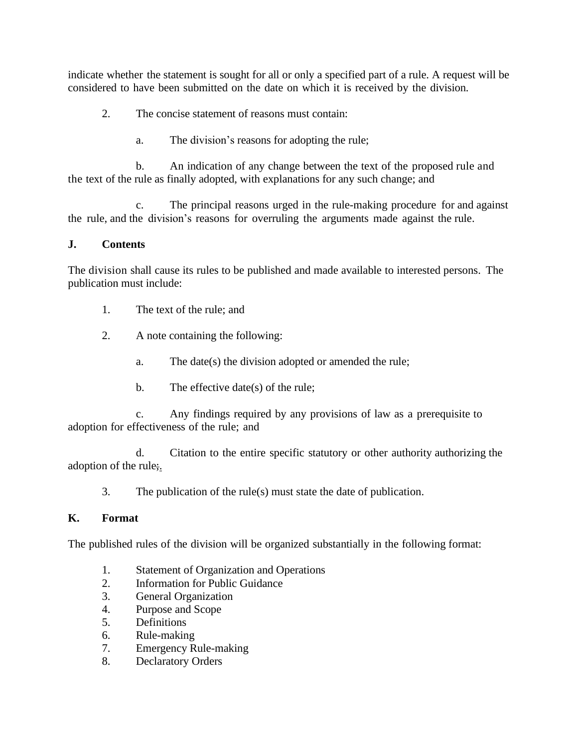indicate whether the statement is sought for all or only a specified part of a rule. A request will be considered to have been submitted on the date on which it is received by the division.

- 2. The concise statement of reasons must contain:
	- a. The division's reasons for adopting the rule;

b. An indication of any change between the text of the proposed rule and the text of the rule as finally adopted, with explanations for any such change; and

c. The principal reasons urged in the rule-making procedure for and against the rule, and the division's reasons for overruling the arguments made against the rule.

#### **J. Contents**

The division shall cause its rules to be published and made available to interested persons. The publication must include:

- 1. The text of the rule; and
- 2. A note containing the following:
	- a. The date(s) the division adopted or amended the rule;
	- b. The effective date(s) of the rule;

c. Any findings required by any provisions of law as a prerequisite to adoption for effectiveness of the rule; and

d. Citation to the entire specific statutory or other authority authorizing the adoption of the rule;.

3. The publication of the rule(s) must state the date of publication.

#### **K. Format**

The published rules of the division will be organized substantially in the following format:

- 1. Statement of Organization and Operations
- 2. Information for Public Guidance
- 3. General Organization
- 4. Purpose and Scope
- 5. Definitions
- 6. Rule-making
- 7. Emergency Rule-making
- 8. Declaratory Orders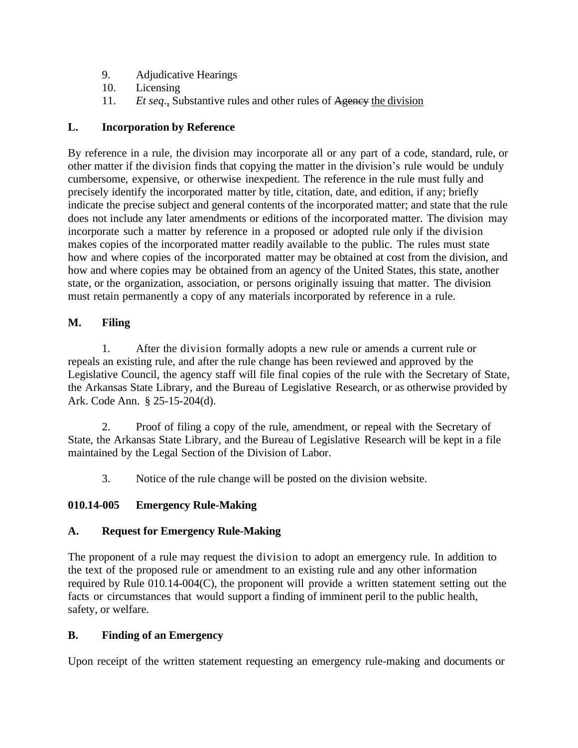- 9. Adjudicative Hearings
- 10. Licensing
- 11. *Et seq*., Substantive rules and other rules of Agency the division

## **L. Incorporation by Reference**

By reference in a rule, the division may incorporate all or any part of a code, standard, rule, or other matter if the division finds that copying the matter in the division's rule would be unduly cumbersome, expensive, or otherwise inexpedient. The reference in the rule must fully and precisely identify the incorporated matter by title, citation, date, and edition, if any; briefly indicate the precise subject and general contents of the incorporated matter; and state that the rule does not include any later amendments or editions of the incorporated matter. The division may incorporate such a matter by reference in a proposed or adopted rule only if the division makes copies of the incorporated matter readily available to the public. The rules must state how and where copies of the incorporated matter may be obtained at cost from the division, and how and where copies may be obtained from an agency of the United States, this state, another state, or the organization, association, or persons originally issuing that matter. The division must retain permanently a copy of any materials incorporated by reference in a rule.

## **M. Filing**

1. After the division formally adopts a new rule or amends a current rule or repeals an existing rule, and after the rule change has been reviewed and approved by the Legislative Council, the agency staff will file final copies of the rule with the Secretary of State, the Arkansas State Library, and the Bureau of Legislative Research, or as otherwise provided by Ark. Code Ann. § 25-15-204(d).

2. Proof of filing a copy of the rule, amendment, or repeal with the Secretary of State, the Arkansas State Library, and the Bureau of Legislative Research will be kept in a file maintained by the Legal Section of the Division of Labor.

3. Notice of the rule change will be posted on the division website.

# **010.14-005 Emergency Rule-Making**

# **A. Request for Emergency Rule-Making**

The proponent of a rule may request the division to adopt an emergency rule. In addition to the text of the proposed rule or amendment to an existing rule and any other information required by Rule 010.14-004(C), the proponent will provide a written statement setting out the facts or circumstances that would support a finding of imminent peril to the public health, safety, or welfare.

# **B. Finding of an Emergency**

Upon receipt of the written statement requesting an emergency rule-making and documents or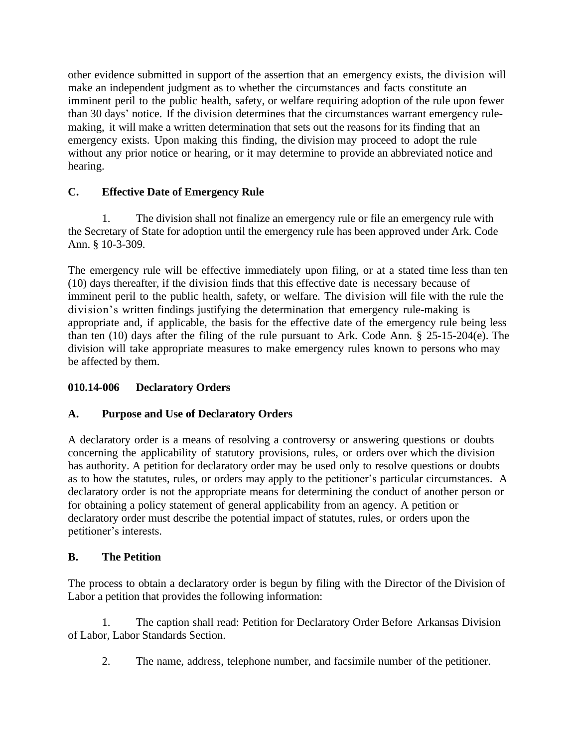other evidence submitted in support of the assertion that an emergency exists, the division will make an independent judgment as to whether the circumstances and facts constitute an imminent peril to the public health, safety, or welfare requiring adoption of the rule upon fewer than 30 days' notice. If the division determines that the circumstances warrant emergency rulemaking, it will make a written determination that sets out the reasons for its finding that an emergency exists. Upon making this finding, the division may proceed to adopt the rule without any prior notice or hearing, or it may determine to provide an abbreviated notice and hearing.

## **C. Effective Date of Emergency Rule**

1. The division shall not finalize an emergency rule or file an emergency rule with the Secretary of State for adoption until the emergency rule has been approved under Ark. Code Ann. § 10-3-309.

The emergency rule will be effective immediately upon filing, or at a stated time less than ten (10) days thereafter, if the division finds that this effective date is necessary because of imminent peril to the public health, safety, or welfare. The division will file with the rule the division's written findings justifying the determination that emergency rule-making is appropriate and, if applicable, the basis for the effective date of the emergency rule being less than ten (10) days after the filing of the rule pursuant to Ark. Code Ann. § 25-15-204(e). The division will take appropriate measures to make emergency rules known to persons who may be affected by them.

#### **010.14-006 Declaratory Orders**

#### **A. Purpose and Use of Declaratory Orders**

A declaratory order is a means of resolving a controversy or answering questions or doubts concerning the applicability of statutory provisions, rules, or orders over which the division has authority. A petition for declaratory order may be used only to resolve questions or doubts as to how the statutes, rules, or orders may apply to the petitioner's particular circumstances. A declaratory order is not the appropriate means for determining the conduct of another person or for obtaining a policy statement of general applicability from an agency. A petition or declaratory order must describe the potential impact of statutes, rules, or orders upon the petitioner's interests.

#### **B. The Petition**

The process to obtain a declaratory order is begun by filing with the Director of the Division of Labor a petition that provides the following information:

1. The caption shall read: Petition for Declaratory Order Before Arkansas Division of Labor, Labor Standards Section.

2. The name, address, telephone number, and facsimile number of the petitioner.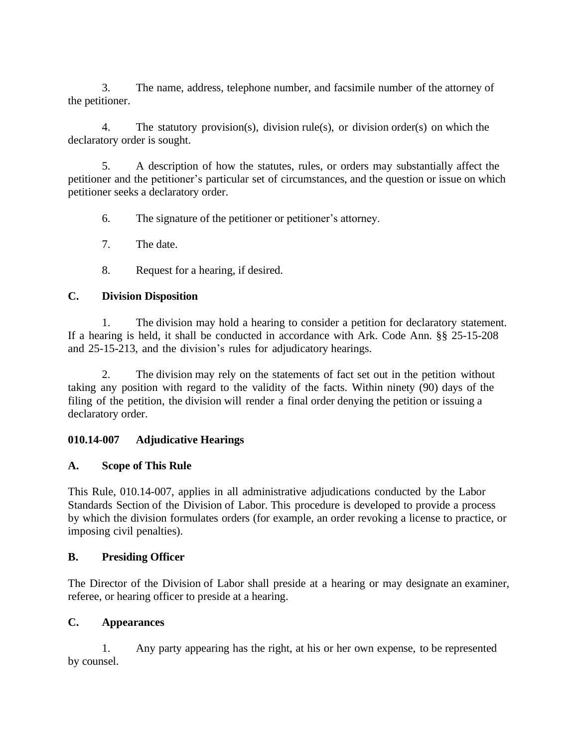3. The name, address, telephone number, and facsimile number of the attorney of the petitioner.

4. The statutory provision(s), division rule(s), or division order(s) on which the declaratory order is sought.

5. A description of how the statutes, rules, or orders may substantially affect the petitioner and the petitioner's particular set of circumstances, and the question or issue on which petitioner seeks a declaratory order.

6. The signature of the petitioner or petitioner's attorney.

7. The date.

8. Request for a hearing, if desired.

## **C. Division Disposition**

1. The division may hold a hearing to consider a petition for declaratory statement. If a hearing is held, it shall be conducted in accordance with Ark. Code Ann. §§ 25-15-208 and 25-15-213, and the division's rules for adjudicatory hearings.

2. The division may rely on the statements of fact set out in the petition without taking any position with regard to the validity of the facts. Within ninety (90) days of the filing of the petition, the division will render a final order denying the petition or issuing a declaratory order.

#### **010.14-007 Adjudicative Hearings**

#### **A. Scope of This Rule**

This Rule, 010.14-007, applies in all administrative adjudications conducted by the Labor Standards Section of the Division of Labor. This procedure is developed to provide a process by which the division formulates orders (for example, an order revoking a license to practice, or imposing civil penalties).

#### **B. Presiding Officer**

The Director of the Division of Labor shall preside at a hearing or may designate an examiner, referee, or hearing officer to preside at a hearing.

#### **C. Appearances**

1. Any party appearing has the right, at his or her own expense, to be represented by counsel.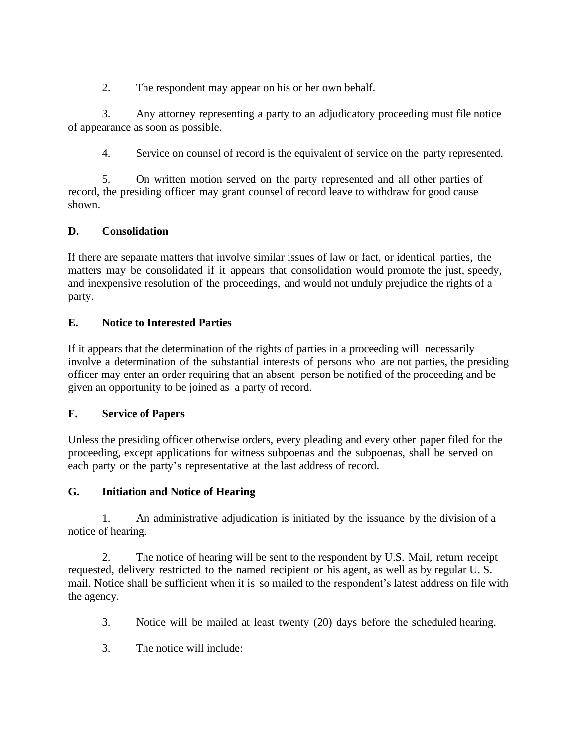2. The respondent may appear on his or her own behalf.

3. Any attorney representing a party to an adjudicatory proceeding must file notice of appearance as soon as possible.

4. Service on counsel of record is the equivalent of service on the party represented.

5. On written motion served on the party represented and all other parties of record, the presiding officer may grant counsel of record leave to withdraw for good cause shown.

# **D. Consolidation**

If there are separate matters that involve similar issues of law or fact, or identical parties, the matters may be consolidated if it appears that consolidation would promote the just, speedy, and inexpensive resolution of the proceedings, and would not unduly prejudice the rights of a party.

## **E. Notice to Interested Parties**

If it appears that the determination of the rights of parties in a proceeding will necessarily involve a determination of the substantial interests of persons who are not parties, the presiding officer may enter an order requiring that an absent person be notified of the proceeding and be given an opportunity to be joined as a party of record.

#### **F. Service of Papers**

Unless the presiding officer otherwise orders, every pleading and every other paper filed for the proceeding, except applications for witness subpoenas and the subpoenas, shall be served on each party or the party's representative at the last address of record.

# **G. Initiation and Notice of Hearing**

1. An administrative adjudication is initiated by the issuance by the division of a notice of hearing.

2. The notice of hearing will be sent to the respondent by U.S. Mail, return receipt requested, delivery restricted to the named recipient or his agent, as well as by regular U. S. mail. Notice shall be sufficient when it is so mailed to the respondent's latest address on file with the agency.

- 3. Notice will be mailed at least twenty (20) days before the scheduled hearing.
- 3. The notice will include: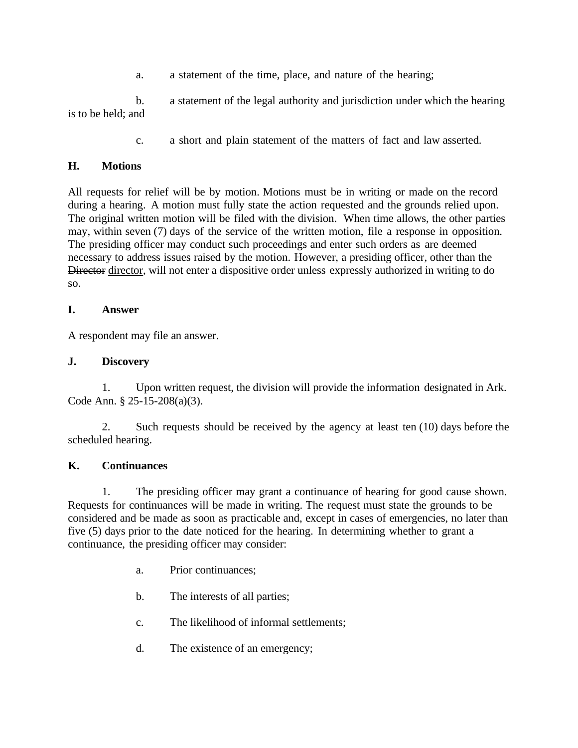a. a statement of the time, place, and nature of the hearing;

b. a statement of the legal authority and jurisdiction under which the hearing is to be held; and

c. a short and plain statement of the matters of fact and law asserted.

## **H. Motions**

All requests for relief will be by motion. Motions must be in writing or made on the record during a hearing. A motion must fully state the action requested and the grounds relied upon. The original written motion will be filed with the division. When time allows, the other parties may, within seven (7) days of the service of the written motion, file a response in opposition. The presiding officer may conduct such proceedings and enter such orders as are deemed necessary to address issues raised by the motion. However, a presiding officer, other than the Director director, will not enter a dispositive order unless expressly authorized in writing to do so.

#### **I. Answer**

A respondent may file an answer.

#### **J. Discovery**

1. Upon written request, the division will provide the information designated in Ark. Code Ann. § 25-15-208(a)(3).

2. Such requests should be received by the agency at least ten (10) days before the scheduled hearing.

#### **K. Continuances**

1. The presiding officer may grant a continuance of hearing for good cause shown. Requests for continuances will be made in writing. The request must state the grounds to be considered and be made as soon as practicable and, except in cases of emergencies, no later than five (5) days prior to the date noticed for the hearing. In determining whether to grant a continuance, the presiding officer may consider:

- a. Prior continuances;
- b. The interests of all parties;
- c. The likelihood of informal settlements;
- d. The existence of an emergency;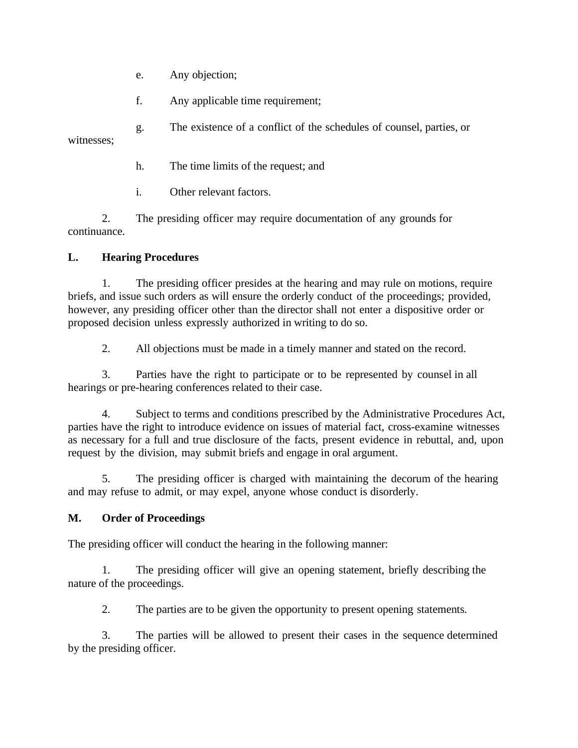- e. Any objection;
- f. Any applicable time requirement;

g. The existence of a conflict of the schedules of counsel, parties, or witnesses;

- h. The time limits of the request; and
- i. Other relevant factors.

2. The presiding officer may require documentation of any grounds for continuance.

# **L. Hearing Procedures**

1. The presiding officer presides at the hearing and may rule on motions, require briefs, and issue such orders as will ensure the orderly conduct of the proceedings; provided, however, any presiding officer other than the director shall not enter a dispositive order or proposed decision unless expressly authorized in writing to do so.

2. All objections must be made in a timely manner and stated on the record.

3. Parties have the right to participate or to be represented by counsel in all hearings or pre-hearing conferences related to their case.

4. Subject to terms and conditions prescribed by the Administrative Procedures Act, parties have the right to introduce evidence on issues of material fact, cross-examine witnesses as necessary for a full and true disclosure of the facts, present evidence in rebuttal, and, upon request by the division, may submit briefs and engage in oral argument.

5. The presiding officer is charged with maintaining the decorum of the hearing and may refuse to admit, or may expel, anyone whose conduct is disorderly.

#### **M. Order of Proceedings**

The presiding officer will conduct the hearing in the following manner:

1. The presiding officer will give an opening statement, briefly describing the nature of the proceedings.

2. The parties are to be given the opportunity to present opening statements.

3. The parties will be allowed to present their cases in the sequence determined by the presiding officer.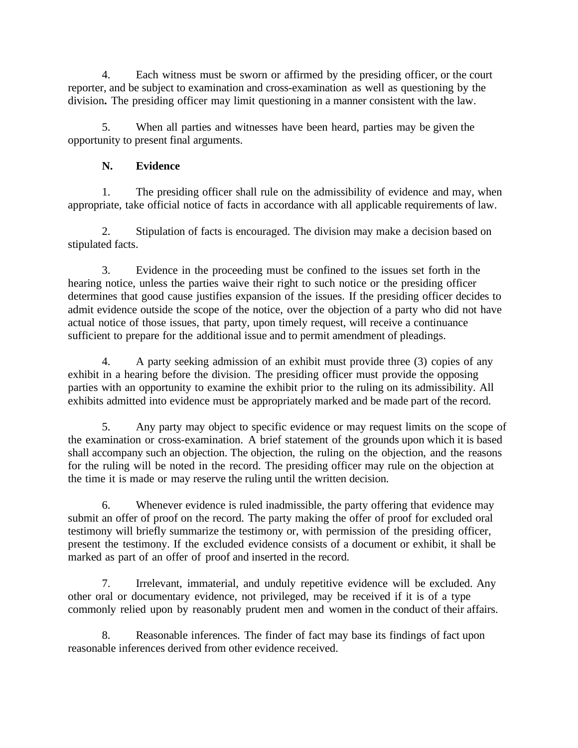4. Each witness must be sworn or affirmed by the presiding officer, or the court reporter, and be subject to examination and cross-examination as well as questioning by the division**.** The presiding officer may limit questioning in a manner consistent with the law.

5. When all parties and witnesses have been heard, parties may be given the opportunity to present final arguments.

# **N. Evidence**

1. The presiding officer shall rule on the admissibility of evidence and may, when appropriate, take official notice of facts in accordance with all applicable requirements of law.

2. Stipulation of facts is encouraged. The division may make a decision based on stipulated facts.

3. Evidence in the proceeding must be confined to the issues set forth in the hearing notice, unless the parties waive their right to such notice or the presiding officer determines that good cause justifies expansion of the issues. If the presiding officer decides to admit evidence outside the scope of the notice, over the objection of a party who did not have actual notice of those issues, that party, upon timely request, will receive a continuance sufficient to prepare for the additional issue and to permit amendment of pleadings.

4. A party seeking admission of an exhibit must provide three (3) copies of any exhibit in a hearing before the division. The presiding officer must provide the opposing parties with an opportunity to examine the exhibit prior to the ruling on its admissibility. All exhibits admitted into evidence must be appropriately marked and be made part of the record.

5. Any party may object to specific evidence or may request limits on the scope of the examination or cross-examination. A brief statement of the grounds upon which it is based shall accompany such an objection. The objection, the ruling on the objection, and the reasons for the ruling will be noted in the record. The presiding officer may rule on the objection at the time it is made or may reserve the ruling until the written decision.

6. Whenever evidence is ruled inadmissible, the party offering that evidence may submit an offer of proof on the record. The party making the offer of proof for excluded oral testimony will briefly summarize the testimony or, with permission of the presiding officer, present the testimony. If the excluded evidence consists of a document or exhibit, it shall be marked as part of an offer of proof and inserted in the record.

7. Irrelevant, immaterial, and unduly repetitive evidence will be excluded. Any other oral or documentary evidence, not privileged, may be received if it is of a type commonly relied upon by reasonably prudent men and women in the conduct of their affairs.

8. Reasonable inferences. The finder of fact may base its findings of fact upon reasonable inferences derived from other evidence received.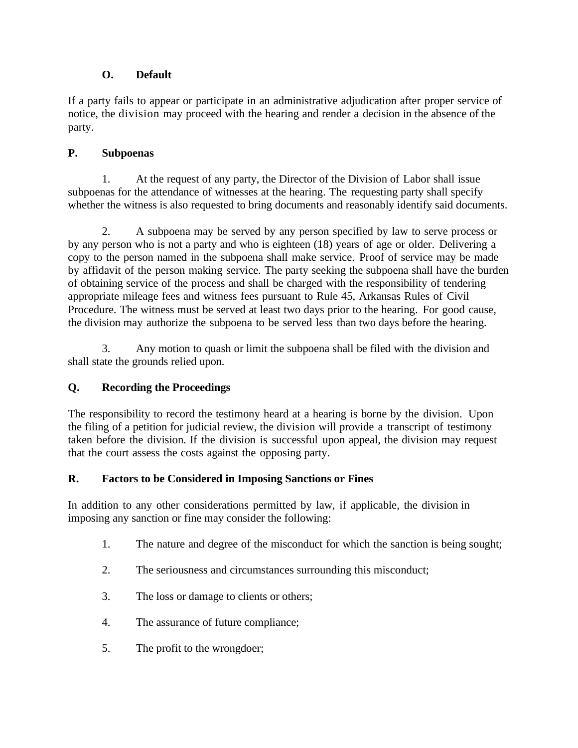## **O. Default**

If a party fails to appear or participate in an administrative adjudication after proper service of notice, the division may proceed with the hearing and render a decision in the absence of the party.

## **P. Subpoenas**

1. At the request of any party, the Director of the Division of Labor shall issue subpoenas for the attendance of witnesses at the hearing. The requesting party shall specify whether the witness is also requested to bring documents and reasonably identify said documents.

2. A subpoena may be served by any person specified by law to serve process or by any person who is not a party and who is eighteen (18) years of age or older. Delivering a copy to the person named in the subpoena shall make service. Proof of service may be made by affidavit of the person making service. The party seeking the subpoena shall have the burden of obtaining service of the process and shall be charged with the responsibility of tendering appropriate mileage fees and witness fees pursuant to Rule 45, Arkansas Rules of Civil Procedure. The witness must be served at least two days prior to the hearing. For good cause, the division may authorize the subpoena to be served less than two days before the hearing.

3. Any motion to quash or limit the subpoena shall be filed with the division and shall state the grounds relied upon.

# **Q. Recording the Proceedings**

The responsibility to record the testimony heard at a hearing is borne by the division. Upon the filing of a petition for judicial review, the division will provide a transcript of testimony taken before the division. If the division is successful upon appeal, the division may request that the court assess the costs against the opposing party.

#### **R. Factors to be Considered in Imposing Sanctions or Fines**

In addition to any other considerations permitted by law, if applicable, the division in imposing any sanction or fine may consider the following:

- 1. The nature and degree of the misconduct for which the sanction is being sought;
- 2. The seriousness and circumstances surrounding this misconduct;
- 3. The loss or damage to clients or others;
- 4. The assurance of future compliance;
- 5. The profit to the wrongdoer;